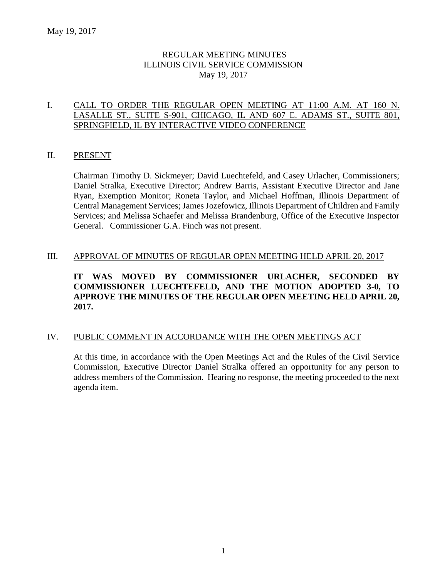# REGULAR MEETING MINUTES ILLINOIS CIVIL SERVICE COMMISSION May 19, 2017

# I. CALL TO ORDER THE REGULAR OPEN MEETING AT 11:00 A.M. AT 160 N. LASALLE ST., SUITE S-901, CHICAGO, IL AND 607 E. ADAMS ST., SUITE 801, SPRINGFIELD, IL BY INTERACTIVE VIDEO CONFERENCE

### II. PRESENT

Chairman Timothy D. Sickmeyer; David Luechtefeld, and Casey Urlacher, Commissioners; Daniel Stralka, Executive Director; Andrew Barris, Assistant Executive Director and Jane Ryan, Exemption Monitor; Roneta Taylor, and Michael Hoffman, Illinois Department of Central Management Services; James Jozefowicz, Illinois Department of Children and Family Services; and Melissa Schaefer and Melissa Brandenburg, Office of the Executive Inspector General. Commissioner G.A. Finch was not present.

#### III. APPROVAL OF MINUTES OF REGULAR OPEN MEETING HELD APRIL 20, 2017

# **IT WAS MOVED BY COMMISSIONER URLACHER, SECONDED BY COMMISSIONER LUECHTEFELD, AND THE MOTION ADOPTED 3-0, TO APPROVE THE MINUTES OF THE REGULAR OPEN MEETING HELD APRIL 20, 2017.**

# IV. PUBLIC COMMENT IN ACCORDANCE WITH THE OPEN MEETINGS ACT

At this time, in accordance with the Open Meetings Act and the Rules of the Civil Service Commission, Executive Director Daniel Stralka offered an opportunity for any person to address members of the Commission. Hearing no response, the meeting proceeded to the next agenda item.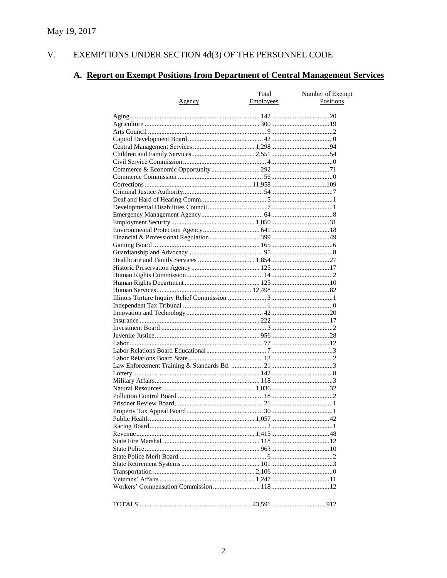#### $V<sub>1</sub>$ EXEMPTIONS UNDER SECTION  $4d(3)$  OF THE PERSONNEL CODE

# A. Report on Exempt Positions from Department of Central Management Services

| <u>Agency</u> | Total<br>Employees | Number of Exempt<br>Positions |
|---------------|--------------------|-------------------------------|
|               |                    |                               |
|               |                    |                               |
|               |                    |                               |
|               |                    |                               |
|               |                    |                               |
|               |                    |                               |
|               |                    |                               |
|               |                    |                               |
|               |                    |                               |
|               |                    |                               |
|               |                    |                               |
|               |                    |                               |
|               |                    |                               |
|               |                    |                               |
|               |                    |                               |
|               |                    |                               |
|               |                    |                               |
|               |                    |                               |
|               |                    |                               |
|               |                    |                               |
|               |                    |                               |
|               |                    |                               |
|               |                    |                               |
|               |                    |                               |
|               |                    |                               |
|               |                    |                               |
|               |                    |                               |
|               |                    |                               |
|               |                    |                               |
|               |                    |                               |
|               |                    |                               |
|               |                    |                               |
|               |                    |                               |
|               |                    |                               |
|               |                    |                               |
|               |                    |                               |
|               |                    |                               |
|               |                    |                               |
|               |                    |                               |
|               |                    |                               |
|               |                    |                               |
|               |                    |                               |
|               |                    |                               |
|               |                    |                               |
|               |                    |                               |
|               |                    |                               |
|               |                    |                               |
|               |                    |                               |
|               |                    |                               |
|               |                    |                               |
|               |                    |                               |
|               |                    |                               |
|               |                    |                               |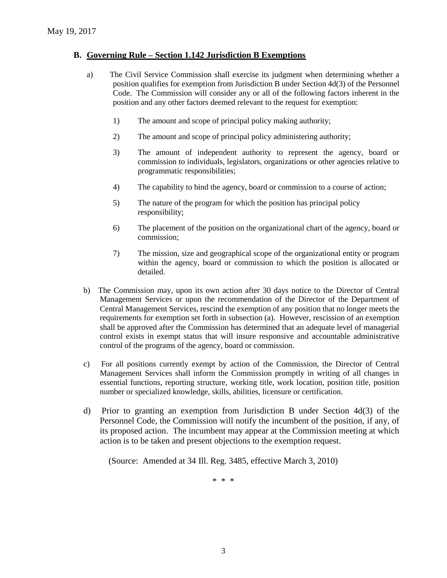### **B. Governing Rule – Section 1.142 Jurisdiction B Exemptions**

- a) The Civil Service Commission shall exercise its judgment when determining whether a position qualifies for exemption from Jurisdiction B under Section 4d(3) of the Personnel Code. The Commission will consider any or all of the following factors inherent in the position and any other factors deemed relevant to the request for exemption:
	- 1) The amount and scope of principal policy making authority;
	- 2) The amount and scope of principal policy administering authority;
	- 3) The amount of independent authority to represent the agency, board or commission to individuals, legislators, organizations or other agencies relative to programmatic responsibilities;
	- 4) The capability to bind the agency, board or commission to a course of action;
	- 5) The nature of the program for which the position has principal policy responsibility;
	- 6) The placement of the position on the organizational chart of the agency, board or commission;
	- 7) The mission, size and geographical scope of the organizational entity or program within the agency, board or commission to which the position is allocated or detailed.
- b) The Commission may, upon its own action after 30 days notice to the Director of Central Management Services or upon the recommendation of the Director of the Department of Central Management Services, rescind the exemption of any position that no longer meets the requirements for exemption set forth in subsection (a). However, rescission of an exemption shall be approved after the Commission has determined that an adequate level of managerial control exists in exempt status that will insure responsive and accountable administrative control of the programs of the agency, board or commission.
- c) For all positions currently exempt by action of the Commission, the Director of Central Management Services shall inform the Commission promptly in writing of all changes in essential functions, reporting structure, working title, work location, position title, position number or specialized knowledge, skills, abilities, licensure or certification.
- d) Prior to granting an exemption from Jurisdiction B under Section 4d(3) of the Personnel Code, the Commission will notify the incumbent of the position, if any, of its proposed action. The incumbent may appear at the Commission meeting at which action is to be taken and present objections to the exemption request.

(Source: Amended at 34 Ill. Reg. 3485, effective March 3, 2010)

\* \* \*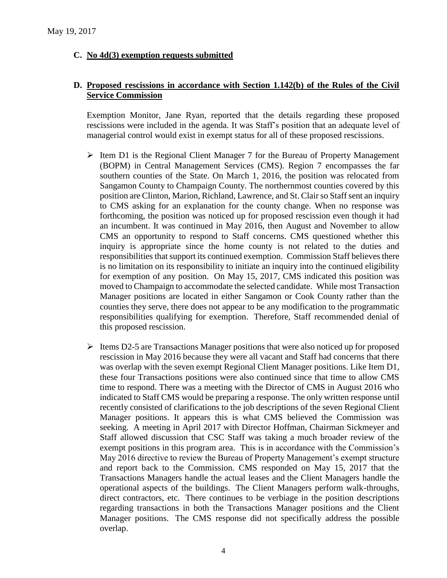# **C. No 4d(3) exemption requests submitted**

#### **D. Proposed rescissions in accordance with Section 1.142(b) of the Rules of the Civil Service Commission**

Exemption Monitor, Jane Ryan, reported that the details regarding these proposed rescissions were included in the agenda. It was Staff's position that an adequate level of managerial control would exist in exempt status for all of these proposed rescissions.

- $\triangleright$  Item D1 is the Regional Client Manager 7 for the Bureau of Property Management (BOPM) in Central Management Services (CMS). Region 7 encompasses the far southern counties of the State. On March 1, 2016, the position was relocated from Sangamon County to Champaign County. The northernmost counties covered by this position are Clinton, Marion, Richland, Lawrence, and St. Clairso Staff sent an inquiry to CMS asking for an explanation for the county change. When no response was forthcoming, the position was noticed up for proposed rescission even though it had an incumbent. It was continued in May 2016, then August and November to allow CMS an opportunity to respond to Staff concerns. CMS questioned whether this inquiry is appropriate since the home county is not related to the duties and responsibilities that support its continued exemption. Commission Staff believes there is no limitation on its responsibility to initiate an inquiry into the continued eligibility for exemption of any position. On May 15, 2017, CMS indicated this position was moved to Champaign to accommodate the selected candidate. While most Transaction Manager positions are located in either Sangamon or Cook County rather than the counties they serve, there does not appear to be any modification to the programmatic responsibilities qualifying for exemption. Therefore, Staff recommended denial of this proposed rescission.
- $\triangleright$  Items D2-5 are Transactions Manager positions that were also noticed up for proposed rescission in May 2016 because they were all vacant and Staff had concerns that there was overlap with the seven exempt Regional Client Manager positions. Like Item D1, these four Transactions positions were also continued since that time to allow CMS time to respond. There was a meeting with the Director of CMS in August 2016 who indicated to Staff CMS would be preparing a response. The only written response until recently consisted of clarifications to the job descriptions of the seven Regional Client Manager positions. It appears this is what CMS believed the Commission was seeking. A meeting in April 2017 with Director Hoffman, Chairman Sickmeyer and Staff allowed discussion that CSC Staff was taking a much broader review of the exempt positions in this program area. This is in accordance with the Commission's May 2016 directive to review the Bureau of Property Management's exempt structure and report back to the Commission. CMS responded on May 15, 2017 that the Transactions Managers handle the actual leases and the Client Managers handle the operational aspects of the buildings. The Client Managers perform walk-throughs, direct contractors, etc. There continues to be verbiage in the position descriptions regarding transactions in both the Transactions Manager positions and the Client Manager positions. The CMS response did not specifically address the possible overlap.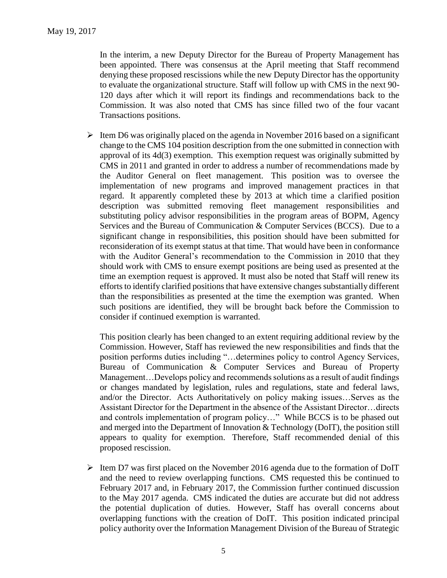In the interim, a new Deputy Director for the Bureau of Property Management has been appointed. There was consensus at the April meeting that Staff recommend denying these proposed rescissions while the new Deputy Director has the opportunity to evaluate the organizational structure. Staff will follow up with CMS in the next 90- 120 days after which it will report its findings and recommendations back to the Commission. It was also noted that CMS has since filled two of the four vacant Transactions positions.

 $\triangleright$  Item D6 was originally placed on the agenda in November 2016 based on a significant change to the CMS 104 position description from the one submitted in connection with approval of its 4d(3) exemption. This exemption request was originally submitted by CMS in 2011 and granted in order to address a number of recommendations made by the Auditor General on fleet management. This position was to oversee the implementation of new programs and improved management practices in that regard. It apparently completed these by 2013 at which time a clarified position description was submitted removing fleet management responsibilities and substituting policy advisor responsibilities in the program areas of BOPM, Agency Services and the Bureau of Communication & Computer Services (BCCS). Due to a significant change in responsibilities, this position should have been submitted for reconsideration of its exempt status at that time. That would have been in conformance with the Auditor General's recommendation to the Commission in 2010 that they should work with CMS to ensure exempt positions are being used as presented at the time an exemption request is approved. It must also be noted that Staff will renew its efforts to identify clarified positions that have extensive changes substantially different than the responsibilities as presented at the time the exemption was granted. When such positions are identified, they will be brought back before the Commission to consider if continued exemption is warranted.

This position clearly has been changed to an extent requiring additional review by the Commission. However, Staff has reviewed the new responsibilities and finds that the position performs duties including "…determines policy to control Agency Services, Bureau of Communication & Computer Services and Bureau of Property Management…Develops policy and recommends solutions as a result of audit findings or changes mandated by legislation, rules and regulations, state and federal laws, and/or the Director. Acts Authoritatively on policy making issues…Serves as the Assistant Director for the Department in the absence of the Assistant Director…directs and controls implementation of program policy…" While BCCS is to be phased out and merged into the Department of Innovation & Technology (DoIT), the position still appears to quality for exemption. Therefore, Staff recommended denial of this proposed rescission.

 $\triangleright$  Item D7 was first placed on the November 2016 agenda due to the formation of DoIT and the need to review overlapping functions. CMS requested this be continued to February 2017 and, in February 2017, the Commission further continued discussion to the May 2017 agenda. CMS indicated the duties are accurate but did not address the potential duplication of duties. However, Staff has overall concerns about overlapping functions with the creation of DoIT. This position indicated principal policy authority over the Information Management Division of the Bureau of Strategic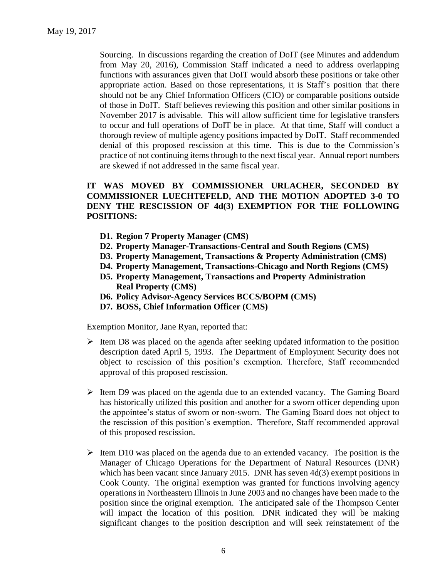Sourcing. In discussions regarding the creation of DoIT (see Minutes and addendum from May 20, 2016), Commission Staff indicated a need to address overlapping functions with assurances given that DoIT would absorb these positions or take other appropriate action. Based on those representations, it is Staff's position that there should not be any Chief Information Officers (CIO) or comparable positions outside of those in DoIT. Staff believes reviewing this position and other similar positions in November 2017 is advisable. This will allow sufficient time for legislative transfers to occur and full operations of DoIT be in place. At that time, Staff will conduct a thorough review of multiple agency positions impacted by DoIT. Staff recommended denial of this proposed rescission at this time. This is due to the Commission's practice of not continuing items through to the next fiscal year. Annual report numbers are skewed if not addressed in the same fiscal year.

# **IT WAS MOVED BY COMMISSIONER URLACHER, SECONDED BY COMMISSIONER LUECHTEFELD, AND THE MOTION ADOPTED 3-0 TO DENY THE RESCISSION OF 4d(3) EXEMPTION FOR THE FOLLOWING POSITIONS:**

- **D1. Region 7 Property Manager (CMS)**
- **D2. Property Manager-Transactions-Central and South Regions (CMS)**
- **D3. Property Management, Transactions & Property Administration (CMS)**
- **D4. Property Management, Transactions-Chicago and North Regions (CMS)**
- **D5. Property Management, Transactions and Property Administration Real Property (CMS)**
- **D6. Policy Advisor-Agency Services BCCS/BOPM (CMS)**
- **D7. BOSS, Chief Information Officer (CMS)**

Exemption Monitor, Jane Ryan, reported that:

- $\triangleright$  Item D8 was placed on the agenda after seeking updated information to the position description dated April 5, 1993. The Department of Employment Security does not object to rescission of this position's exemption. Therefore, Staff recommended approval of this proposed rescission.
- $\triangleright$  Item D9 was placed on the agenda due to an extended vacancy. The Gaming Board has historically utilized this position and another for a sworn officer depending upon the appointee's status of sworn or non-sworn. The Gaming Board does not object to the rescission of this position's exemption. Therefore, Staff recommended approval of this proposed rescission.
- $\triangleright$  Item D10 was placed on the agenda due to an extended vacancy. The position is the Manager of Chicago Operations for the Department of Natural Resources (DNR) which has been vacant since January 2015. DNR has seven 4d(3) exempt positions in Cook County. The original exemption was granted for functions involving agency operations in Northeastern Illinois in June 2003 and no changes have been made to the position since the original exemption. The anticipated sale of the Thompson Center will impact the location of this position. DNR indicated they will be making significant changes to the position description and will seek reinstatement of the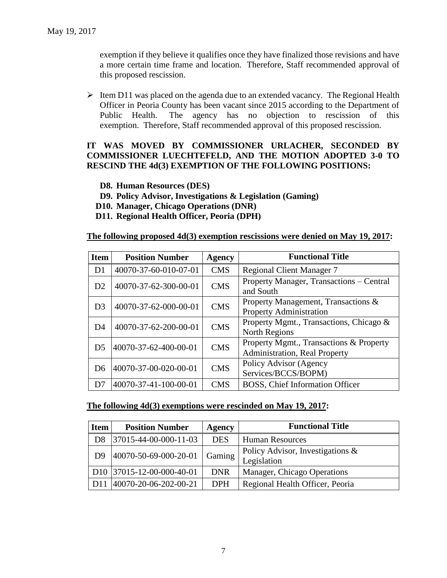exemption if they believe it qualifies once they have finalized those revisions and have a more certain time frame and location. Therefore, Staff recommended approval of this proposed rescission.

 $\triangleright$  Item D11 was placed on the agenda due to an extended vacancy. The Regional Health Officer in Peoria County has been vacant since 2015 according to the Department of Public Health. The agency has no objection to rescission of this exemption. Therefore, Staff recommended approval of this proposed rescission.

# **IT WAS MOVED BY COMMISSIONER URLACHER, SECONDED BY COMMISSIONER LUECHTEFELD, AND THE MOTION ADOPTED 3-0 TO RESCIND THE 4d(3) EXEMPTION OF THE FOLLOWING POSITIONS:**

#### **D8. Human Resources (DES)**

- **D9. Policy Advisor, Investigations & Legislation (Gaming)**
- **D10. Manager, Chicago Operations (DNR)**
- **D11. Regional Health Officer, Peoria (DPH)**

### **The following proposed 4d(3) exemption rescissions were denied on May 19, 2017:**

| <b>Item</b>    | <b>Position Number</b> | Agency     | <b>Functional Title</b>                                                         |
|----------------|------------------------|------------|---------------------------------------------------------------------------------|
| D <sub>1</sub> | 40070-37-60-010-07-01  | <b>CMS</b> | <b>Regional Client Manager 7</b>                                                |
| D2             | 40070-37-62-300-00-01  | <b>CMS</b> | Property Manager, Transactions - Central<br>and South                           |
| D <sub>3</sub> | 40070-37-62-000-00-01  | <b>CMS</b> | Property Management, Transactions &<br><b>Property Administration</b>           |
| D <sub>4</sub> | 40070-37-62-200-00-01  | <b>CMS</b> | Property Mgmt., Transactions, Chicago &<br><b>North Regions</b>                 |
| D <sub>5</sub> | 40070-37-62-400-00-01  | <b>CMS</b> | Property Mgmt., Transactions & Property<br><b>Administration, Real Property</b> |
| D6             | 40070-37-00-020-00-01  | <b>CMS</b> | Policy Advisor (Agency<br>Services/BCCS/BOPM)                                   |
| D7             | 40070-37-41-100-00-01  | <b>CMS</b> | BOSS, Chief Information Officer                                                 |

#### **The following 4d(3) exemptions were rescinded on May 19, 2017:**

| <b>Item</b>    | <b>Position Number</b>                  | Agency     | <b>Functional Title</b>                            |
|----------------|-----------------------------------------|------------|----------------------------------------------------|
| D <sub>8</sub> | $ 37015 - 44 - 00 - 000 - 11 - 03 $     | <b>DES</b> | <b>Human Resources</b>                             |
| D <sub>9</sub> | 40070-50-69-000-20-01                   | Gaming     | Policy Advisor, Investigations $\&$<br>Legislation |
|                | D <sub>10</sub>   37015-12-00-000-40-01 | <b>DNR</b> | Manager, Chicago Operations                        |
| D11            | $ 40070-20-06-202-00-21 $               | <b>DPH</b> | Regional Health Officer, Peoria                    |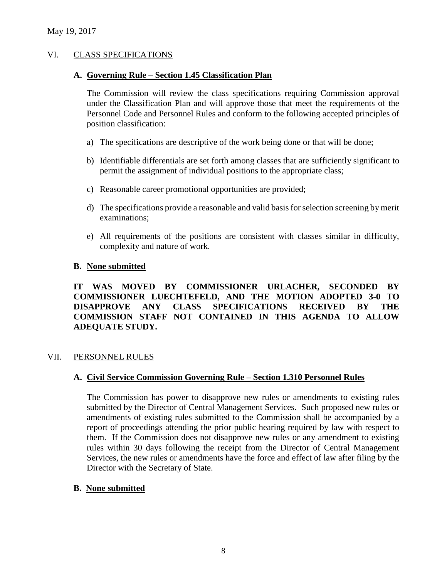# VI. CLASS SPECIFICATIONS

#### **A. Governing Rule – Section 1.45 Classification Plan**

The Commission will review the class specifications requiring Commission approval under the Classification Plan and will approve those that meet the requirements of the Personnel Code and Personnel Rules and conform to the following accepted principles of position classification:

- a) The specifications are descriptive of the work being done or that will be done;
- b) Identifiable differentials are set forth among classes that are sufficiently significant to permit the assignment of individual positions to the appropriate class;
- c) Reasonable career promotional opportunities are provided;
- d) The specifications provide a reasonable and valid basis for selection screening by merit examinations;
- e) All requirements of the positions are consistent with classes similar in difficulty, complexity and nature of work.

### **B. None submitted**

# **IT WAS MOVED BY COMMISSIONER URLACHER, SECONDED BY COMMISSIONER LUECHTEFELD, AND THE MOTION ADOPTED 3-0 TO DISAPPROVE ANY CLASS SPECIFICATIONS RECEIVED BY THE COMMISSION STAFF NOT CONTAINED IN THIS AGENDA TO ALLOW ADEQUATE STUDY.**

#### VII. PERSONNEL RULES

# **A. Civil Service Commission Governing Rule – Section 1.310 Personnel Rules**

The Commission has power to disapprove new rules or amendments to existing rules submitted by the Director of Central Management Services. Such proposed new rules or amendments of existing rules submitted to the Commission shall be accompanied by a report of proceedings attending the prior public hearing required by law with respect to them. If the Commission does not disapprove new rules or any amendment to existing rules within 30 days following the receipt from the Director of Central Management Services, the new rules or amendments have the force and effect of law after filing by the Director with the Secretary of State.

#### **B. None submitted**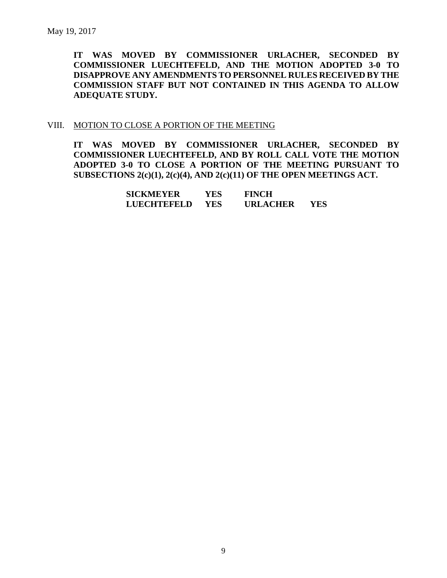**IT WAS MOVED BY COMMISSIONER URLACHER, SECONDED BY COMMISSIONER LUECHTEFELD, AND THE MOTION ADOPTED 3-0 TO DISAPPROVE ANY AMENDMENTS TO PERSONNEL RULES RECEIVED BY THE COMMISSION STAFF BUT NOT CONTAINED IN THIS AGENDA TO ALLOW ADEQUATE STUDY.** 

#### VIII. MOTION TO CLOSE A PORTION OF THE MEETING

**IT WAS MOVED BY COMMISSIONER URLACHER, SECONDED BY COMMISSIONER LUECHTEFELD, AND BY ROLL CALL VOTE THE MOTION ADOPTED 3-0 TO CLOSE A PORTION OF THE MEETING PURSUANT TO SUBSECTIONS 2(c)(1), 2(c)(4), AND 2(c)(11) OF THE OPEN MEETINGS ACT.**

| <b>SICKMEYER</b> | YES        | <b>FINCH</b>    |      |
|------------------|------------|-----------------|------|
| LUECHTEFELD      | <b>YES</b> | <b>URLACHER</b> | YES. |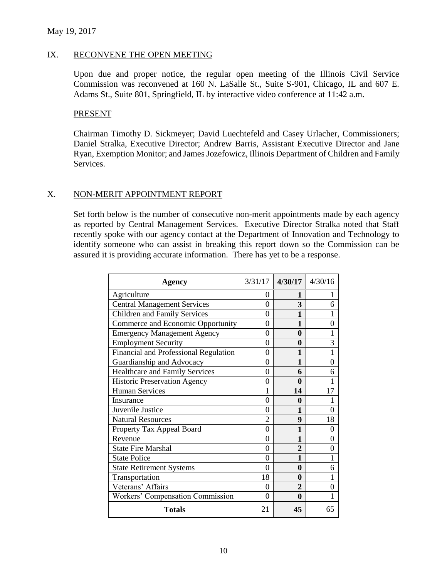#### IX. RECONVENE THE OPEN MEETING

Upon due and proper notice, the regular open meeting of the Illinois Civil Service Commission was reconvened at 160 N. LaSalle St., Suite S-901, Chicago, IL and 607 E. Adams St., Suite 801, Springfield, IL by interactive video conference at 11:42 a.m.

#### PRESENT

Chairman Timothy D. Sickmeyer; David Luechtefeld and Casey Urlacher, Commissioners; Daniel Stralka, Executive Director; Andrew Barris, Assistant Executive Director and Jane Ryan, Exemption Monitor; and James Jozefowicz, Illinois Department of Children and Family Services.

#### X. NON-MERIT APPOINTMENT REPORT

Set forth below is the number of consecutive non-merit appointments made by each agency as reported by Central Management Services. Executive Director Stralka noted that Staff recently spoke with our agency contact at the Department of Innovation and Technology to identify someone who can assist in breaking this report down so the Commission can be assured it is providing accurate information. There has yet to be a response.

| Agency                                  |          | $3/31/17$ 4/30/17 4/30/16 |    |
|-----------------------------------------|----------|---------------------------|----|
| Agriculture                             | 0        | 1                         | 1  |
| <b>Central Management Services</b>      | $\Omega$ | 3                         | 6  |
| <b>Children and Family Services</b>     | 0        | 1                         | 1  |
| Commerce and Economic Opportunity       | 0        | 1                         | 0  |
| <b>Emergency Management Agency</b>      | 0        | $\mathbf{0}$              |    |
| <b>Employment Security</b>              | 0        | 0                         | 3  |
| Financial and Professional Regulation   | 0        | 1                         | 1  |
| Guardianship and Advocacy               | 0        | 1                         | 0  |
| <b>Healthcare and Family Services</b>   | 0        | 6                         | 6  |
| <b>Historic Preservation Agency</b>     | 0        | 0                         |    |
| <b>Human Services</b>                   |          | 14                        | 17 |
| Insurance                               | 0        | 0                         |    |
| Juvenile Justice                        | 0        | 1                         | 0  |
| <b>Natural Resources</b>                | 2        | 9                         | 18 |
| Property Tax Appeal Board               | $\theta$ | 1                         | 0  |
| Revenue                                 | 0        | 1                         | 0  |
| <b>State Fire Marshal</b>               | 0        | $\overline{2}$            | 0  |
| <b>State Police</b>                     | 0        | 1                         | 1  |
| <b>State Retirement Systems</b>         | 0        | $\mathbf{0}$              | 6  |
| Transportation                          | 18       | 0                         | 1  |
| Veterans' Affairs                       | 0        | $\overline{2}$            | 0  |
| <b>Workers' Compensation Commission</b> | 0        | 0                         |    |
| <b>Totals</b>                           | 21       | 45                        | 65 |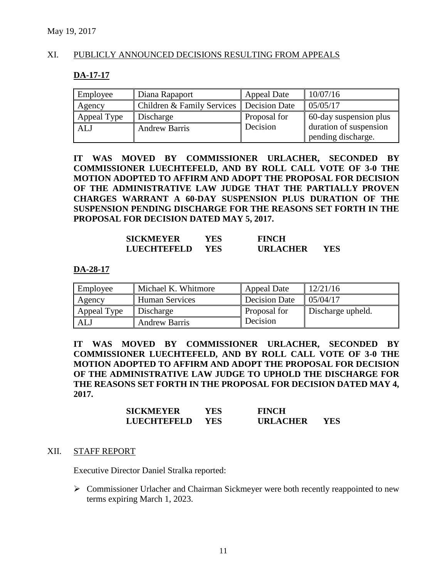#### XI. PUBLICLY ANNOUNCED DECISIONS RESULTING FROM APPEALS

#### **DA-17-17**

| Employee    | Diana Rapaport                                      | <b>Appeal Date</b> | 10/07/16               |
|-------------|-----------------------------------------------------|--------------------|------------------------|
| Agency      | <b>Children &amp; Family Services Decision Date</b> |                    | 05/05/17               |
| Appeal Type | Discharge                                           | Proposal for       | 60-day suspension plus |
| ALJ         | <b>Andrew Barris</b>                                | Decision           | duration of suspension |
|             |                                                     |                    | pending discharge.     |

**IT WAS MOVED BY COMMISSIONER URLACHER, SECONDED BY COMMISSIONER LUECHTEFELD, AND BY ROLL CALL VOTE OF 3-0 THE MOTION ADOPTED TO AFFIRM AND ADOPT THE PROPOSAL FOR DECISION OF THE ADMINISTRATIVE LAW JUDGE THAT THE PARTIALLY PROVEN CHARGES WARRANT A 60-DAY SUSPENSION PLUS DURATION OF THE SUSPENSION PENDING DISCHARGE FOR THE REASONS SET FORTH IN THE PROPOSAL FOR DECISION DATED MAY 5, 2017.**

| <b>SICKMEYER</b>   | YES. | <b>FINCH</b>    |     |
|--------------------|------|-----------------|-----|
| <b>LUECHTEFELD</b> | YES. | <b>URLACHER</b> | YES |

#### **DA-28-17**

| Employee    | Michael K. Whitmore  | <b>Appeal Date</b> | 12/21/16             |
|-------------|----------------------|--------------------|----------------------|
| Agency      | Human Services       | Decision Date      | $\parallel$ 05/04/17 |
| Appeal Type | Discharge            | Proposal for       | Discharge upheld.    |
| <b>ALJ</b>  | <b>Andrew Barris</b> | Decision           |                      |

**IT WAS MOVED BY COMMISSIONER URLACHER, SECONDED BY COMMISSIONER LUECHTEFELD, AND BY ROLL CALL VOTE OF 3-0 THE MOTION ADOPTED TO AFFIRM AND ADOPT THE PROPOSAL FOR DECISION OF THE ADMINISTRATIVE LAW JUDGE TO UPHOLD THE DISCHARGE FOR THE REASONS SET FORTH IN THE PROPOSAL FOR DECISION DATED MAY 4, 2017.**

| <b>SICKMEYER</b>   | YES | <b>FINCH</b>    |     |
|--------------------|-----|-----------------|-----|
| <b>LUECHTEFELD</b> | YES | <b>URLACHER</b> | YES |

#### XII. STAFF REPORT

Executive Director Daniel Stralka reported:

 Commissioner Urlacher and Chairman Sickmeyer were both recently reappointed to new terms expiring March 1, 2023.